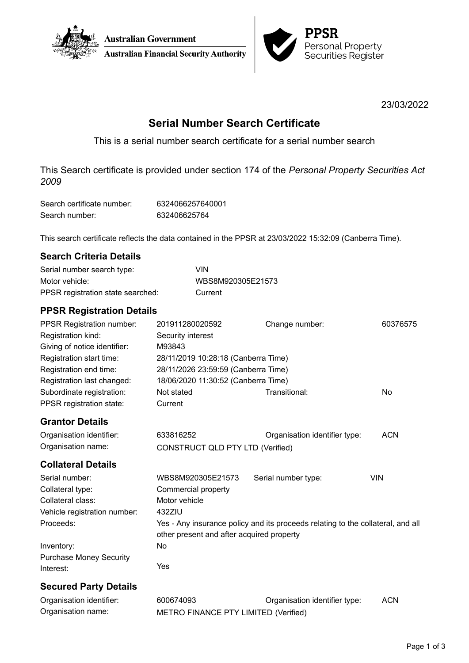



23/03/2022

# **Serial Number Search Certificate**

This is a serial number search certificate for a serial number search

This Search certificate is provided under section 174 of the *Personal Property Securities Act 2009*

| Search certificate number: | 6324066257640001 |
|----------------------------|------------------|
| Search number:             | 632406625764     |

This search certificate reflects the data contained in the PPSR at 23/03/2022 15:32:09 (Canberra Time).

| Serial number search type:        | VIN               |
|-----------------------------------|-------------------|
| Motor vehicle:                    | WBS8M920305E21573 |
| PPSR registration state searched: | Current           |

## **PPSR Registration Details**

| <b>PPSR Registration number:</b><br>Registration kind:   | 201911280020592<br>Security interest                                            | Change number:                | 60376575   |  |
|----------------------------------------------------------|---------------------------------------------------------------------------------|-------------------------------|------------|--|
| Giving of notice identifier:<br>Registration start time: | M93843                                                                          |                               |            |  |
| Registration end time:                                   | 28/11/2019 10:28:18 (Canberra Time)                                             |                               |            |  |
|                                                          | 28/11/2026 23:59:59 (Canberra Time)                                             |                               |            |  |
| Registration last changed:                               | 18/06/2020 11:30:52 (Canberra Time)                                             |                               |            |  |
| Subordinate registration:                                | Not stated                                                                      | Transitional:                 | No.        |  |
| PPSR registration state:                                 | Current                                                                         |                               |            |  |
| <b>Grantor Details</b>                                   |                                                                                 |                               |            |  |
| Organisation identifier:                                 | 633816252                                                                       | Organisation identifier type: | <b>ACN</b> |  |
| Organisation name:                                       | CONSTRUCT QLD PTY LTD (Verified)                                                |                               |            |  |
| <b>Collateral Details</b>                                |                                                                                 |                               |            |  |
| Serial number:                                           | WBS8M920305E21573                                                               | Serial number type:           | <b>VIN</b> |  |
| Collateral type:                                         | Commercial property                                                             |                               |            |  |
| Collateral class:                                        | Motor vehicle                                                                   |                               |            |  |
| Vehicle registration number:                             | 432ZIU                                                                          |                               |            |  |
| Proceeds:                                                | Yes - Any insurance policy and its proceeds relating to the collateral, and all |                               |            |  |
|                                                          | other present and after acquired property                                       |                               |            |  |
| Inventory:                                               | No                                                                              |                               |            |  |
| <b>Purchase Money Security</b>                           |                                                                                 |                               |            |  |
| Interest:                                                | Yes                                                                             |                               |            |  |
| <b>Secured Party Details</b>                             |                                                                                 |                               |            |  |
| Organisation identifier:                                 | 600674093                                                                       | Organisation identifier type: | <b>ACN</b> |  |

Organisation name: METRO FINANCE PTY LIMITED (Verified)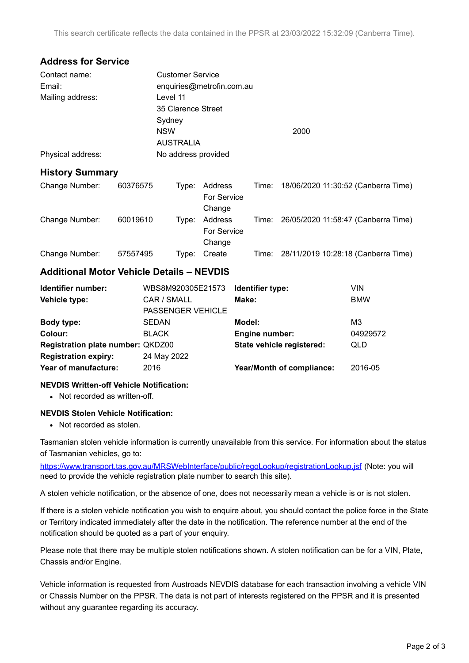## **Address for Service**

| Contact name:     | <b>Customer Service</b>   |      |  |
|-------------------|---------------------------|------|--|
| Email:            | enquiries@metrofin.com.au |      |  |
| Mailing address:  | Level 11                  |      |  |
|                   | 35 Clarence Street        |      |  |
|                   | Sydney                    |      |  |
|                   | <b>NSW</b>                | 2000 |  |
|                   | <b>AUSTRALIA</b>          |      |  |
| Physical address: | No address provided       |      |  |

### **History Summary**

| Change Number: | 60376575 | Tvpe: | Address<br>For Service<br>Change | Time: | 18/06/2020 11:30:52 (Canberra Time)       |
|----------------|----------|-------|----------------------------------|-------|-------------------------------------------|
| Change Number: | 60019610 | Tvpe: | Address<br>For Service<br>Change | Time: | 26/05/2020 11:58:47 (Canberra Time)       |
| Change Number: | 57557495 | Type: | Create                           |       | Time: 28/11/2019 10:28:18 (Canberra Time) |

## **Additional Motor Vehicle Details – NEVDIS**

| Identifier number:                | WBS8M920305E21573 | Identifier type:          | VIN        |
|-----------------------------------|-------------------|---------------------------|------------|
| Vehicle type:                     | CAR / SMALL       | Make:                     | <b>BMW</b> |
|                                   | PASSENGER VEHICLE |                           |            |
| Body type:                        | <b>SEDAN</b>      | Model:                    | MЗ         |
| Colour:                           | <b>BLACK</b>      | Engine number:            | 04929572   |
| Registration plate number: QKDZ00 |                   | State vehicle registered: | QLD        |
| <b>Registration expiry:</b>       | 24 May 2022       |                           |            |
| Year of manufacture:              | 2016              | Year/Month of compliance: | 2016-05    |
|                                   |                   |                           |            |

#### **NEVDIS Written-off Vehicle Notification:**

• Not recorded as written-off.

#### **NEVDIS Stolen Vehicle Notification:**

• Not recorded as stolen.

Tasmanian stolen vehicle information is currently unavailable from this service. For information about the status of Tasmanian vehicles, go to:

<https://www.transport.tas.gov.au/MRSWebInterface/public/regoLookup/registrationLookup.jsf> (Note: you will need to provide the vehicle registration plate number to search this site).

A stolen vehicle notification, or the absence of one, does not necessarily mean a vehicle is or is not stolen.

If there is a stolen vehicle notification you wish to enquire about, you should contact the police force in the State or Territory indicated immediately after the date in the notification. The reference number at the end of the notification should be quoted as a part of your enquiry.

Please note that there may be multiple stolen notifications shown. A stolen notification can be for a VIN, Plate, Chassis and/or Engine.

Vehicle information is requested from Austroads NEVDIS database for each transaction involving a vehicle VIN or Chassis Number on the PPSR. The data is not part of interests registered on the PPSR and it is presented without any guarantee regarding its accuracy.